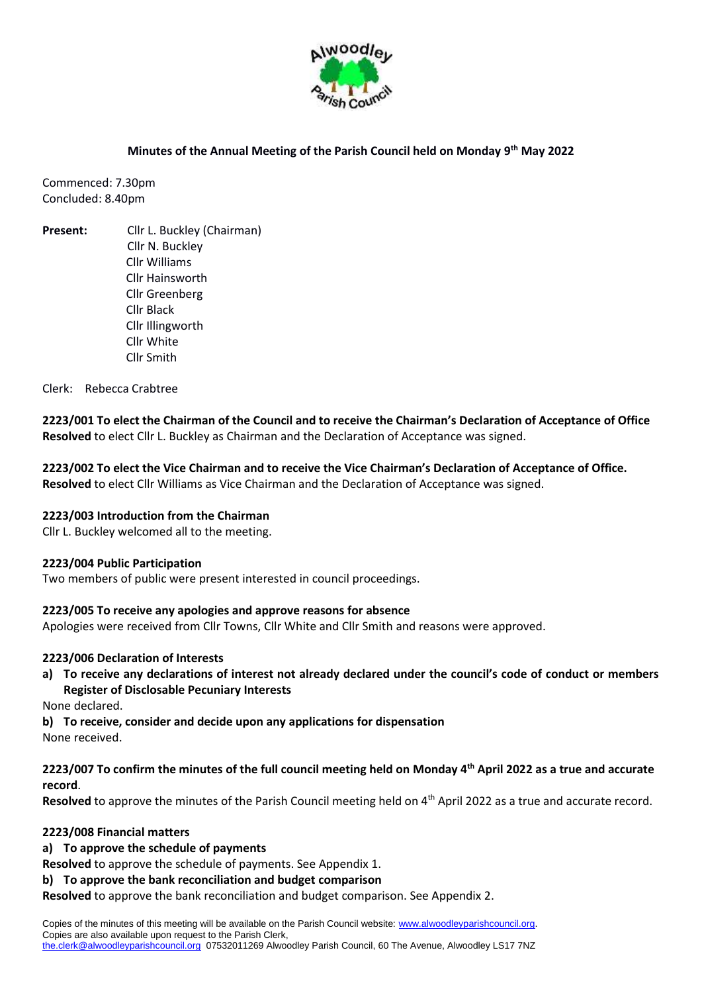

#### **Minutes of the Annual Meeting of the Parish Council held on Monday 9th May 2022**

Commenced: 7.30pm Concluded: 8.40pm

**Present:** Cllr L. Buckley (Chairman) Cllr N. Buckley Cllr Williams Cllr Hainsworth Cllr Greenberg Cllr Black Cllr Illingworth Cllr White Cllr Smith

Clerk: Rebecca Crabtree

**2223/001 To elect the Chairman of the Council and to receive the Chairman's Declaration of Acceptance of Office Resolved** to elect Cllr L. Buckley as Chairman and the Declaration of Acceptance was signed.

**2223/002 To elect the Vice Chairman and to receive the Vice Chairman's Declaration of Acceptance of Office. Resolved** to elect Cllr Williams as Vice Chairman and the Declaration of Acceptance was signed.

#### **2223/003 Introduction from the Chairman**

Cllr L. Buckley welcomed all to the meeting.

#### **2223/004 Public Participation**

Two members of public were present interested in council proceedings.

#### **2223/005 To receive any apologies and approve reasons for absence**

Apologies were received from Cllr Towns, Cllr White and Cllr Smith and reasons were approved.

#### **2223/006 Declaration of Interests**

**a) To receive any declarations of interest not already declared under the council's code of conduct or members Register of Disclosable Pecuniary Interests**

None declared.

**b) To receive, consider and decide upon any applications for dispensation**

None received.

## **2223/007 To confirm the minutes of the full council meeting held on Monday 4th April 2022 as a true and accurate record**.

Resolved to approve the minutes of the Parish Council meeting held on 4<sup>th</sup> April 2022 as a true and accurate record.

#### **2223/008 Financial matters**

**a) To approve the schedule of payments** 

**Resolved** to approve the schedule of payments. See Appendix 1.

**b) To approve the bank reconciliation and budget comparison** 

**Resolved** to approve the bank reconciliation and budget comparison. See Appendix 2.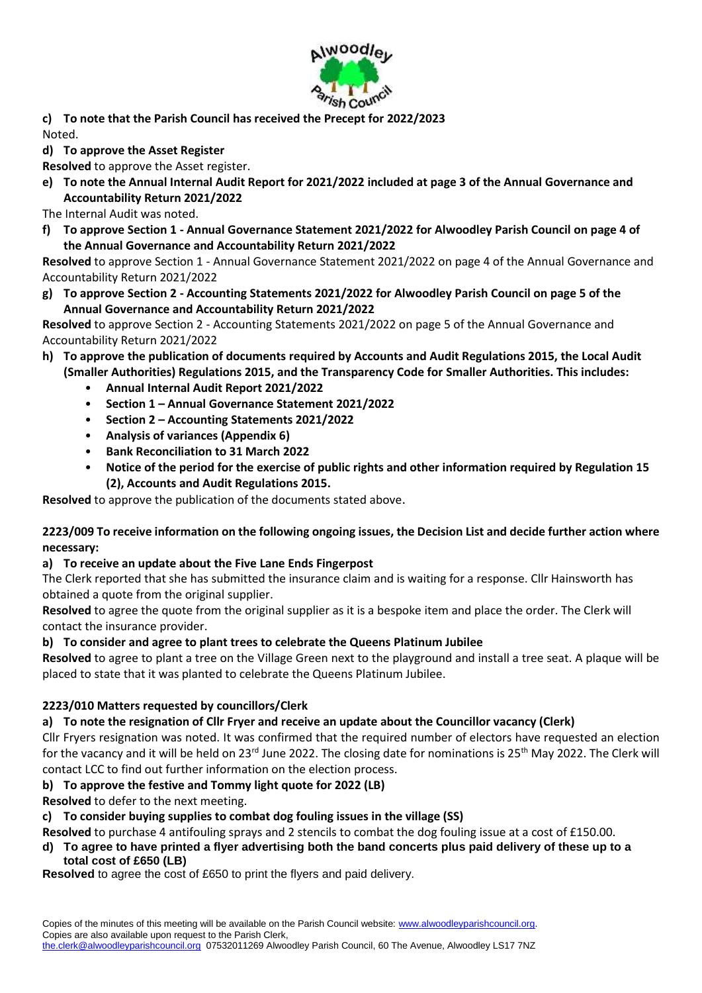

**c) To note that the Parish Council has received the Precept for 2022/2023** Noted.

**d) To approve the Asset Register** 

**Resolved** to approve the Asset register.

**e) To note the Annual Internal Audit Report for 2021/2022 included at page 3 of the Annual Governance and Accountability Return 2021/2022**

The Internal Audit was noted.

**f) To approve Section 1 - Annual Governance Statement 2021/2022 for Alwoodley Parish Council on page 4 of the Annual Governance and Accountability Return 2021/2022**

**Resolved** to approve Section 1 - Annual Governance Statement 2021/2022 on page 4 of the Annual Governance and Accountability Return 2021/2022

**g) To approve Section 2 - Accounting Statements 2021/2022 for Alwoodley Parish Council on page 5 of the Annual Governance and Accountability Return 2021/2022**

**Resolved** to approve Section 2 - Accounting Statements 2021/2022 on page 5 of the Annual Governance and Accountability Return 2021/2022

- **h) To approve the publication of documents required by Accounts and Audit Regulations 2015, the Local Audit (Smaller Authorities) Regulations 2015, and the Transparency Code for Smaller Authorities. This includes:**
	- **Annual Internal Audit Report 2021/2022**
	- **Section 1 – Annual Governance Statement 2021/2022**
	- **Section 2 – Accounting Statements 2021/2022**
	- **Analysis of variances (Appendix 6)**
	- **Bank Reconciliation to 31 March 2022**
	- **Notice of the period for the exercise of public rights and other information required by Regulation 15 (2), Accounts and Audit Regulations 2015.**

**Resolved** to approve the publication of the documents stated above.

### **2223/009 To receive information on the following ongoing issues, the Decision List and decide further action where necessary:**

### **a) To receive an update about the Five Lane Ends Fingerpost**

The Clerk reported that she has submitted the insurance claim and is waiting for a response. Cllr Hainsworth has obtained a quote from the original supplier.

**Resolved** to agree the quote from the original supplier as it is a bespoke item and place the order. The Clerk will contact the insurance provider.

### **b) To consider and agree to plant trees to celebrate the Queens Platinum Jubilee**

**Resolved** to agree to plant a tree on the Village Green next to the playground and install a tree seat. A plaque will be placed to state that it was planted to celebrate the Queens Platinum Jubilee.

# **2223/010 Matters requested by councillors/Clerk**

### **a) To note the resignation of Cllr Fryer and receive an update about the Councillor vacancy (Clerk)**

Cllr Fryers resignation was noted. It was confirmed that the required number of electors have requested an election for the vacancy and it will be held on 23<sup>rd</sup> June 2022. The closing date for nominations is 25<sup>th</sup> May 2022. The Clerk will contact LCC to find out further information on the election process.

# **b) To approve the festive and Tommy light quote for 2022 (LB)**

**Resolved** to defer to the next meeting.

### **c) To consider buying supplies to combat dog fouling issues in the village (SS)**

**Resolved** to purchase 4 antifouling sprays and 2 stencils to combat the dog fouling issue at a cost of £150.00.

**d) To agree to have printed a flyer advertising both the band concerts plus paid delivery of these up to a total cost of £650 (LB)**

**Resolved** to agree the cost of £650 to print the flyers and paid delivery.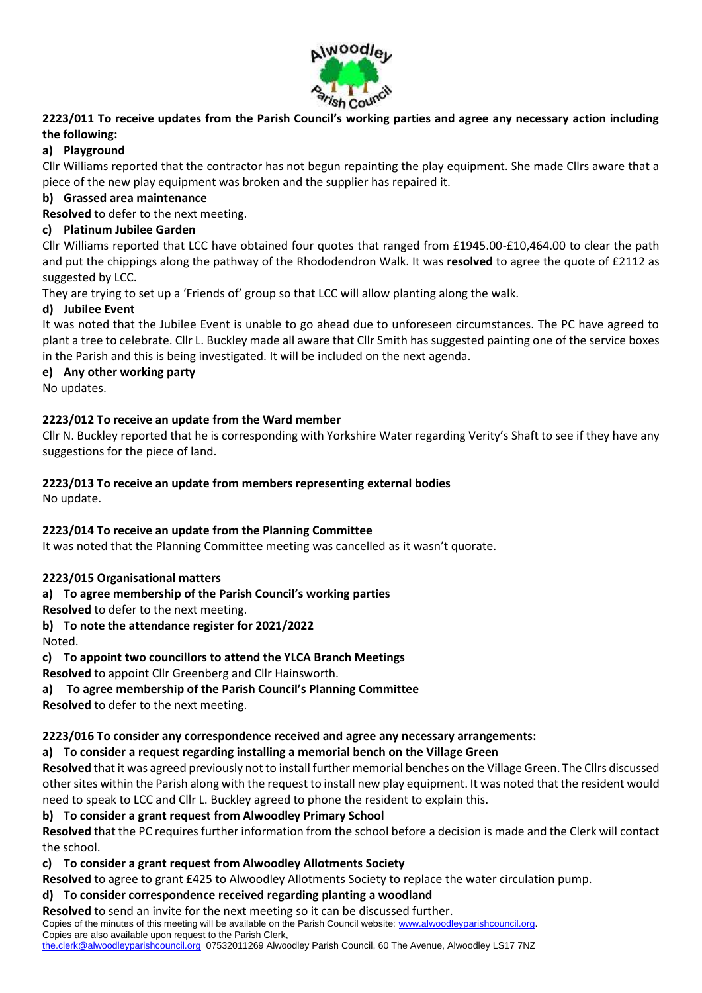

**2223/011 To receive updates from the Parish Council's working parties and agree any necessary action including the following:** 

# **a) Playground**

Cllr Williams reported that the contractor has not begun repainting the play equipment. She made Cllrs aware that a piece of the new play equipment was broken and the supplier has repaired it.

### **b) Grassed area maintenance**

**Resolved** to defer to the next meeting.

## **c) Platinum Jubilee Garden**

Cllr Williams reported that LCC have obtained four quotes that ranged from £1945.00-£10,464.00 to clear the path and put the chippings along the pathway of the Rhododendron Walk. It was **resolved** to agree the quote of £2112 as suggested by LCC.

They are trying to set up a 'Friends of' group so that LCC will allow planting along the walk.

## **d) Jubilee Event**

It was noted that the Jubilee Event is unable to go ahead due to unforeseen circumstances. The PC have agreed to plant a tree to celebrate. Cllr L. Buckley made all aware that Cllr Smith has suggested painting one of the service boxes in the Parish and this is being investigated. It will be included on the next agenda.

### **e) Any other working party**

No updates.

## **2223/012 To receive an update from the Ward member**

Cllr N. Buckley reported that he is corresponding with Yorkshire Water regarding Verity's Shaft to see if they have any suggestions for the piece of land.

# **2223/013 To receive an update from members representing external bodies**

No update.

### **2223/014 To receive an update from the Planning Committee**

It was noted that the Planning Committee meeting was cancelled as it wasn't quorate.

### **2223/015 Organisational matters**

### **a) To agree membership of the Parish Council's working parties**

**Resolved** to defer to the next meeting.

# **b) To note the attendance register for 2021/2022**

Noted.

### **c) To appoint two councillors to attend the YLCA Branch Meetings**

**Resolved** to appoint Cllr Greenberg and Cllr Hainsworth.

### **a) To agree membership of the Parish Council's Planning Committee**

**Resolved** to defer to the next meeting.

### **2223/016 To consider any correspondence received and agree any necessary arrangements:**

### **a) To consider a request regarding installing a memorial bench on the Village Green**

**Resolved** that it was agreed previously not to install further memorial benches on the Village Green. The Cllrs discussed other sites within the Parish along with the request to install new play equipment. It was noted that the resident would need to speak to LCC and Cllr L. Buckley agreed to phone the resident to explain this.

### **b) To consider a grant request from Alwoodley Primary School**

**Resolved** that the PC requires further information from the school before a decision is made and the Clerk will contact the school.

### **c) To consider a grant request from Alwoodley Allotments Society**

**Resolved** to agree to grant £425 to Alwoodley Allotments Society to replace the water circulation pump.

### **d) To consider correspondence received regarding planting a woodland**

**Resolved** to send an invite for the next meeting so it can be discussed further.

Copies of the minutes of this meeting will be available on the Parish Council website: [www.alwoodleyparishcouncil.org.](http://www.alwoodleyparishcouncil.org/) Copies are also available upon request to the Parish Clerk,

[the.clerk@alwoodleyparishcouncil.org](mailto:the.clerk@alwoodleyparishcouncil.org) 07532011269 Alwoodley Parish Council, 60 The Avenue, Alwoodley LS17 7NZ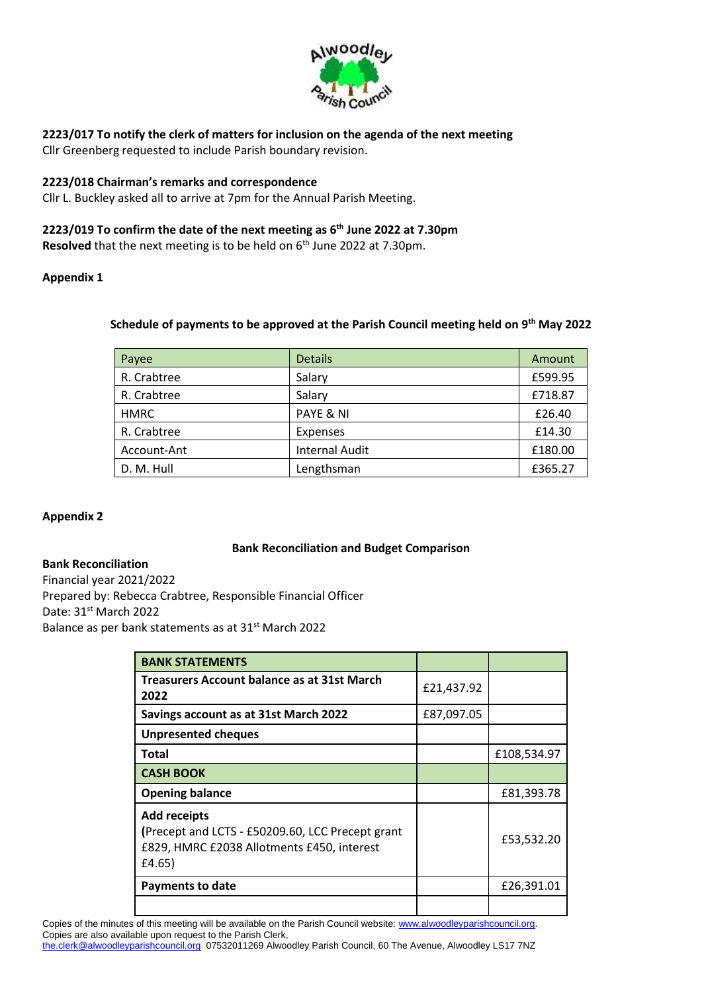

# **2223/017 To notify the clerk of matters for inclusion on the agenda of the next meeting**

Cllr Greenberg requested to include Parish boundary revision.

### **2223/018 Chairman's remarks and correspondence**

Cllr L. Buckley asked all to arrive at 7pm for the Annual Parish Meeting.

### **2223/019 To confirm the date of the next meeting as 6th June 2022 at 7.30pm**

**Resolved** that the next meeting is to be held on 6<sup>th</sup> June 2022 at 7.30pm.

#### **Appendix 1**

### **Schedule of payments to be approved at the Parish Council meeting held on 9th May 2022**

| Payee       | <b>Details</b>        | Amount  |
|-------------|-----------------------|---------|
| R. Crabtree | Salary                | £599.95 |
| R. Crabtree | Salary                | £718.87 |
| <b>HMRC</b> | PAYE & NI             | £26.40  |
| R. Crabtree | <b>Expenses</b>       | £14.30  |
| Account-Ant | <b>Internal Audit</b> | £180.00 |
| D. M. Hull  | Lengthsman            | £365.27 |

### **Appendix 2**

#### **Bank Reconciliation and Budget Comparison**

#### **Bank Reconciliation**

Financial year 2021/2022 Prepared by: Rebecca Crabtree, Responsible Financial Officer Date: 31<sup>st</sup> March 2022 Balance as per bank statements as at 31st March 2022

| <b>BANK STATEMENTS</b>                                                                                                          |            |             |
|---------------------------------------------------------------------------------------------------------------------------------|------------|-------------|
| Treasurers Account balance as at 31st March<br>2022                                                                             | £21,437.92 |             |
| Savings account as at 31st March 2022                                                                                           | £87,097.05 |             |
| <b>Unpresented cheques</b>                                                                                                      |            |             |
| Total                                                                                                                           |            | £108,534.97 |
| <b>CASH BOOK</b>                                                                                                                |            |             |
| <b>Opening balance</b>                                                                                                          |            | £81,393.78  |
| <b>Add receipts</b><br>(Precept and LCTS - £50209.60, LCC Precept grant<br>£829, HMRC £2038 Allotments £450, interest<br>£4.65) |            | £53,532.20  |
| Payments to date                                                                                                                |            | £26,391.01  |
|                                                                                                                                 |            |             |

Copies of the minutes of this meeting will be available on the Parish Council website: [www.alwoodleyparishcouncil.org.](http://www.alwoodleyparishcouncil.org/) Copies are also available upon request to the Parish Clerk,

[the.clerk@alwoodleyparishcouncil.org](mailto:the.clerk@alwoodleyparishcouncil.org) 07532011269 Alwoodley Parish Council, 60 The Avenue, Alwoodley LS17 7NZ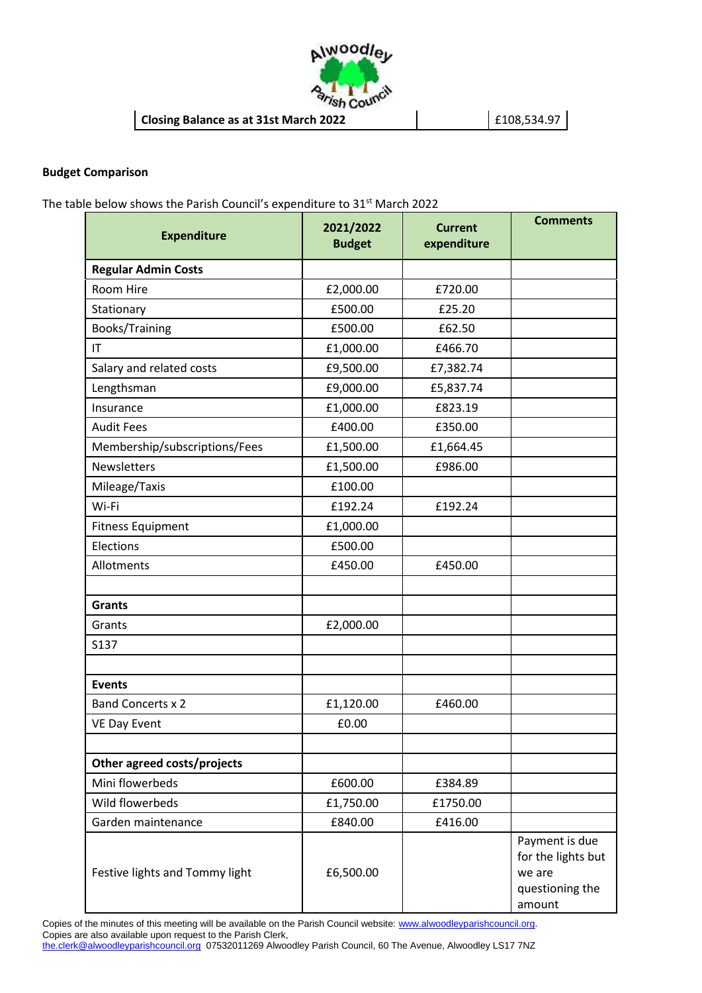

#### **Budget Comparison**

The table below shows the Parish Council's expenditure to 31<sup>st</sup> March 2022

| <b>Expenditure</b>             | 2021/2022<br><b>Budget</b> | <b>Current</b><br>expenditure | <b>Comments</b>                                                             |
|--------------------------------|----------------------------|-------------------------------|-----------------------------------------------------------------------------|
| <b>Regular Admin Costs</b>     |                            |                               |                                                                             |
| Room Hire                      | £2,000.00                  | £720.00                       |                                                                             |
| Stationary                     | £500.00                    | £25.20                        |                                                                             |
| Books/Training                 | £500.00                    | £62.50                        |                                                                             |
| IT                             | £1,000.00                  | £466.70                       |                                                                             |
| Salary and related costs       | £9,500.00                  | £7,382.74                     |                                                                             |
| Lengthsman                     | £9,000.00                  | £5,837.74                     |                                                                             |
| Insurance                      | £1,000.00                  | £823.19                       |                                                                             |
| <b>Audit Fees</b>              | £400.00                    | £350.00                       |                                                                             |
| Membership/subscriptions/Fees  | £1,500.00                  | £1,664.45                     |                                                                             |
| <b>Newsletters</b>             | £1,500.00                  | £986.00                       |                                                                             |
| Mileage/Taxis                  | £100.00                    |                               |                                                                             |
| Wi-Fi                          | £192.24                    | £192.24                       |                                                                             |
| <b>Fitness Equipment</b>       | £1,000.00                  |                               |                                                                             |
| Elections                      | £500.00                    |                               |                                                                             |
| Allotments                     | £450.00                    | £450.00                       |                                                                             |
| <b>Grants</b>                  |                            |                               |                                                                             |
| Grants                         | £2,000.00                  |                               |                                                                             |
| S137                           |                            |                               |                                                                             |
|                                |                            |                               |                                                                             |
| <b>Events</b>                  |                            |                               |                                                                             |
| <b>Band Concerts x 2</b>       | £1,120.00                  | £460.00                       |                                                                             |
| <b>VE Day Event</b>            | £0.00                      |                               |                                                                             |
|                                |                            |                               |                                                                             |
| Other agreed costs/projects    |                            |                               |                                                                             |
| Mini flowerbeds                | £600.00                    | £384.89                       |                                                                             |
| Wild flowerbeds                | £1,750.00                  | £1750.00                      |                                                                             |
| Garden maintenance             | £840.00                    | £416.00                       |                                                                             |
| Festive lights and Tommy light | £6,500.00                  |                               | Payment is due<br>for the lights but<br>we are<br>questioning the<br>amount |

Copies of the minutes of this meeting will be available on the Parish Council website: [www.alwoodleyparishcouncil.org.](http://www.alwoodleyparishcouncil.org/) Copies are also available upon request to the Parish Clerk,

[the.clerk@alwoodleyparishcouncil.org](mailto:the.clerk@alwoodleyparishcouncil.org) 07532011269 Alwoodley Parish Council, 60 The Avenue, Alwoodley LS17 7NZ